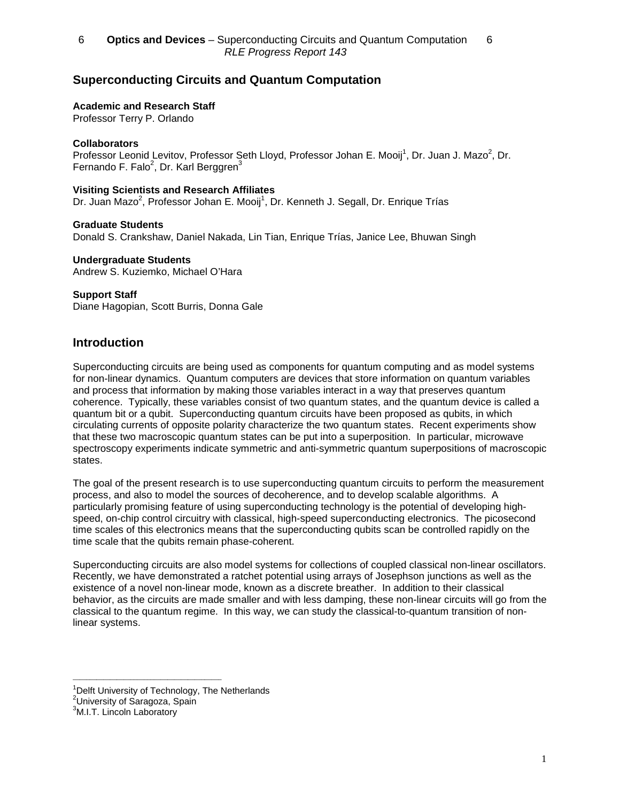# **Superconducting Circuits and Quantum Computation**

### **Academic and Research Staff**

Professor Terry P. Orlando

# **Collaborators**

Professor Leonid Levitov, Professor Seth Lloyd, Professor Johan E. Mooij<sup>1</sup>, Dr. Juan J. Mazo<sup>2</sup>, Dr. Fernando F. Falo $^2$ , Dr. Karl Berggren $^3$ 

# **Visiting Scientists and Research Affiliates**

Dr. Juan Mazo<sup>2</sup>, Professor Johan E. Mooij<sup>1</sup>, Dr. Kenneth J. Segall, Dr. Enrique Trías

# **Graduate Students**

Donald S. Crankshaw, Daniel Nakada, Lin Tian, Enrique Trías, Janice Lee, Bhuwan Singh

#### **Undergraduate Students**

Andrew S. Kuziemko, Michael O'Hara

# **Support Staff**

Diane Hagopian, Scott Burris, Donna Gale

# **Introduction**

Superconducting circuits are being used as components for quantum computing and as model systems for non-linear dynamics. Quantum computers are devices that store information on quantum variables and process that information by making those variables interact in a way that preserves quantum coherence. Typically, these variables consist of two quantum states, and the quantum device is called a quantum bit or a qubit. Superconducting quantum circuits have been proposed as qubits, in which circulating currents of opposite polarity characterize the two quantum states. Recent experiments show that these two macroscopic quantum states can be put into a superposition. In particular, microwave spectroscopy experiments indicate symmetric and anti-symmetric quantum superpositions of macroscopic states.

The goal of the present research is to use superconducting quantum circuits to perform the measurement process, and also to model the sources of decoherence, and to develop scalable algorithms. A particularly promising feature of using superconducting technology is the potential of developing highspeed, on-chip control circuitry with classical, high-speed superconducting electronics. The picosecond time scales of this electronics means that the superconducting qubits scan be controlled rapidly on the time scale that the qubits remain phase-coherent.

Superconducting circuits are also model systems for collections of coupled classical non-linear oscillators. Recently, we have demonstrated a ratchet potential using arrays of Josephson junctions as well as the existence of a novel non-linear mode, known as a discrete breather. In addition to their classical behavior, as the circuits are made smaller and with less damping, these non-linear circuits will go from the classical to the quantum regime. In this way, we can study the classical-to-quantum transition of nonlinear systems.

 $\mathcal{L}_\text{max}$  , and the contract of the contract of the contract of the contract of the contract of the contract of the contract of the contract of the contract of the contract of the contract of the contract of the contr

<sup>&</sup>lt;sup>1</sup>Delft University of Technology, The Netherlands

<sup>&</sup>lt;sup>2</sup>University of Saragoza, Spain

<sup>&</sup>lt;sup>3</sup>M.I.T. Lincoln Laboratory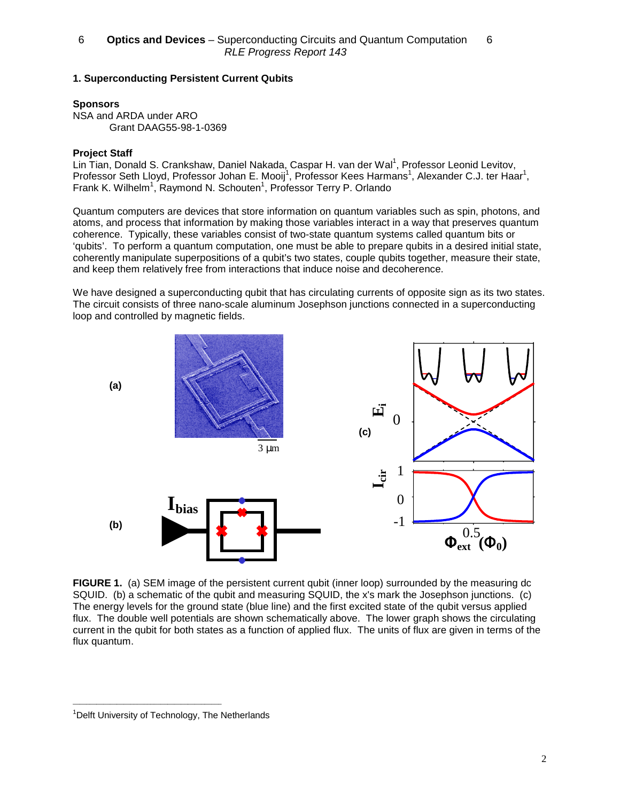# **1. Superconducting Persistent Current Qubits**

# **Sponsors**

NSA and ARDA under ARO Grant DAAG55-98-1-0369

# **Project Staff**

Lin Tian, Donald S. Crankshaw, Daniel Nakada, Caspar H. van der Wal<sup>1</sup>, Professor Leonid Levitov, Professor Seth Lloyd, Professor Johan E. Mooij<sup>1</sup>, Professor Kees Harmans<sup>1</sup>, Alexander C.J. ter Haar<sup>1</sup>, Frank K. Wilhelm<sup>1</sup>, Raymond N. Schouten<sup>1</sup>, Professor Terry P. Orlando

Quantum computers are devices that store information on quantum variables such as spin, photons, and atoms, and process that information by making those variables interact in a way that preserves quantum coherence. Typically, these variables consist of two-state quantum systems called quantum bits or 'qubits'. To perform a quantum computation, one must be able to prepare qubits in a desired initial state, coherently manipulate superpositions of a qubit's two states, couple qubits together, measure their state, and keep them relatively free from interactions that induce noise and decoherence.

We have designed a superconducting qubit that has circulating currents of opposite sign as its two states. The circuit consists of three nano-scale aluminum Josephson junctions connected in a superconducting loop and controlled by magnetic fields.



**FIGURE 1.** (a) SEM image of the persistent current qubit (inner loop) surrounded by the measuring dc SQUID. (b) a schematic of the qubit and measuring SQUID, the x's mark the Josephson junctions. (c) The energy levels for the ground state (blue line) and the first excited state of the qubit versus applied flux. The double well potentials are shown schematically above. The lower graph shows the circulating current in the qubit for both states as a function of applied flux. The units of flux are given in terms of the flux quantum.

\_\_\_\_\_\_\_\_\_\_\_\_\_\_\_\_\_\_\_\_\_\_\_\_\_\_\_\_\_\_\_\_\_\_\_\_\_\_\_\_\_\_\_\_

<sup>&</sup>lt;sup>1</sup>Delft University of Technology, The Netherlands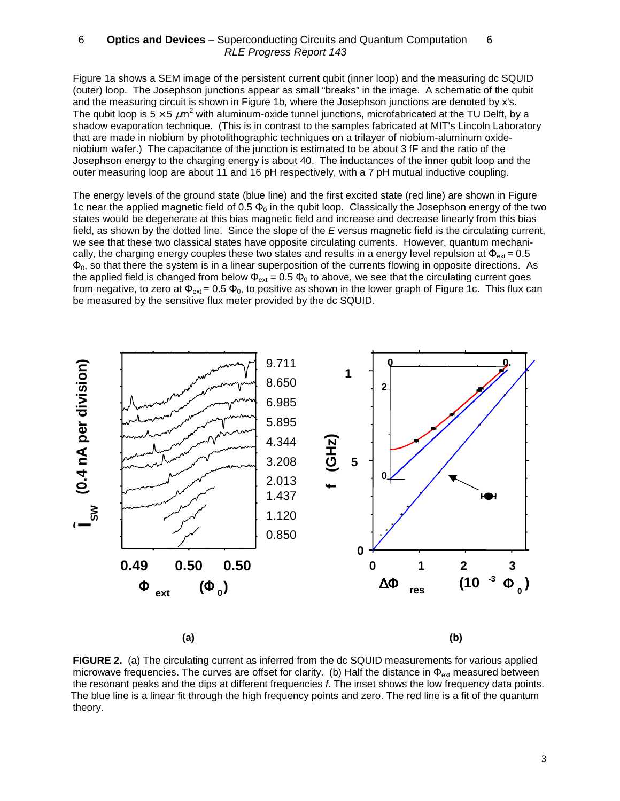Figure 1a shows a SEM image of the persistent current qubit (inner loop) and the measuring dc SQUID (outer) loop. The Josephson junctions appear as small "breaks" in the image. A schematic of the qubit and the measuring circuit is shown in Figure 1b, where the Josephson junctions are denoted by x's. The qubit loop is 5  $\times$  5  $\mu$ m<sup>2</sup> with aluminum-oxide tunnel junctions, microfabricated at the TU Delft, by a shadow evaporation technique. (This is in contrast to the samples fabricated at MIT's Lincoln Laboratory that are made in niobium by photolithographic techniques on a trilayer of niobium-aluminum oxideniobium wafer.) The capacitance of the junction is estimated to be about 3 fF and the ratio of the Josephson energy to the charging energy is about 40. The inductances of the inner qubit loop and the outer measuring loop are about 11 and 16 pH respectively, with a 7 pH mutual inductive coupling.

The energy levels of the ground state (blue line) and the first excited state (red line) are shown in Figure 1c near the applied magnetic field of 0.5  $\Phi_0$  in the qubit loop. Classically the Josephson energy of the two states would be degenerate at this bias magnetic field and increase and decrease linearly from this bias field, as shown by the dotted line. Since the slope of the E versus magnetic field is the circulating current, we see that these two classical states have opposite circulating currents. However, quantum mechanically, the charging energy couples these two states and results in a energy level repulsion at  $\Phi_{\text{ext}} = 0.5$  $\Phi_0$ , so that there the system is in a linear superposition of the currents flowing in opposite directions. As the applied field is changed from below  $\Phi_{ext} = 0.5 \Phi_0$  to above, we see that the circulating current goes from negative, to zero at  $\Phi_{ext} = 0.5 \Phi_0$ , to positive as shown in the lower graph of Figure 1c. This flux can be measured by the sensitive flux meter provided by the dc SQUID.



**(a) (b)**

**FIGURE 2.** (a) The circulating current as inferred from the dc SQUID measurements for various applied microwave frequencies. The curves are offset for clarity. (b) Half the distance in  $\Phi_{\text{ext}}$  measured between the resonant peaks and the dips at different frequencies f. The inset shows the low frequency data points. The blue line is a linear fit through the high frequency points and zero. The red line is a fit of the quantum theory.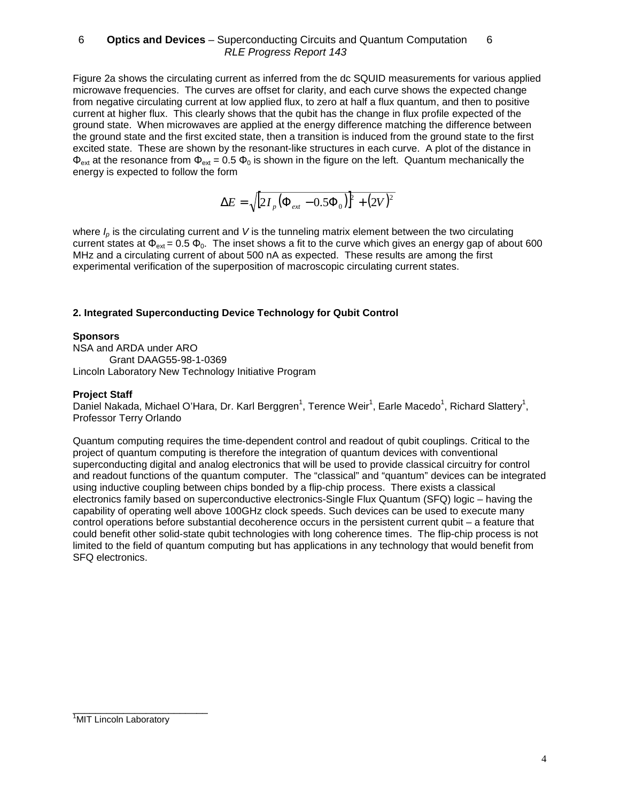Figure 2a shows the circulating current as inferred from the dc SQUID measurements for various applied microwave frequencies. The curves are offset for clarity, and each curve shows the expected change from negative circulating current at low applied flux, to zero at half a flux quantum, and then to positive current at higher flux. This clearly shows that the qubit has the change in flux profile expected of the ground state. When microwaves are applied at the energy difference matching the difference between the ground state and the first excited state, then a transition is induced from the ground state to the first excited state. These are shown by the resonant-like structures in each curve. A plot of the distance in  $\Phi_{\text{ext}}$  at the resonance from  $\Phi_{\text{ext}} = 0.5 \Phi_0$  is shown in the figure on the left. Quantum mechanically the energy is expected to follow the form

$$
\Delta E = \sqrt{[2I_{p}(\Phi_{ext} - 0.5\Phi_{0})]^{2} + (2V)^{2}}
$$

where  $I<sub>0</sub>$  is the circulating current and V is the tunneling matrix element between the two circulating current states at  $\Phi_{ext} = 0.5 \Phi_0$ . The inset shows a fit to the curve which gives an energy gap of about 600 MHz and a circulating current of about 500 nA as expected. These results are among the first experimental verification of the superposition of macroscopic circulating current states.

# **2. Integrated Superconducting Device Technology for Qubit Control**

# **Sponsors**

NSA and ARDA under ARO Grant DAAG55-98-1-0369 Lincoln Laboratory New Technology Initiative Program

# **Project Staff**

Daniel Nakada, Michael O'Hara, Dr. Karl Berggren<sup>1</sup>, Terence Weir<sup>1</sup>, Earle Macedo<sup>1</sup>, Richard Slattery<sup>1</sup>, Professor Terry Orlando

Quantum computing requires the time-dependent control and readout of qubit couplings. Critical to the project of quantum computing is therefore the integration of quantum devices with conventional superconducting digital and analog electronics that will be used to provide classical circuitry for control and readout functions of the quantum computer. The "classical" and "quantum" devices can be integrated using inductive coupling between chips bonded by a flip-chip process. There exists a classical electronics family based on superconductive electronics-Single Flux Quantum (SFQ) logic – having the capability of operating well above 100GHz clock speeds. Such devices can be used to execute many control operations before substantial decoherence occurs in the persistent current qubit – a feature that could benefit other solid-state qubit technologies with long coherence times. The flip-chip process is not limited to the field of quantum computing but has applications in any technology that would benefit from SFQ electronics.

\_\_\_\_\_\_\_\_\_\_\_\_\_\_\_\_\_\_\_\_\_\_\_\_

<sup>&</sup>lt;sup>1</sup>MIT Lincoln Laboratory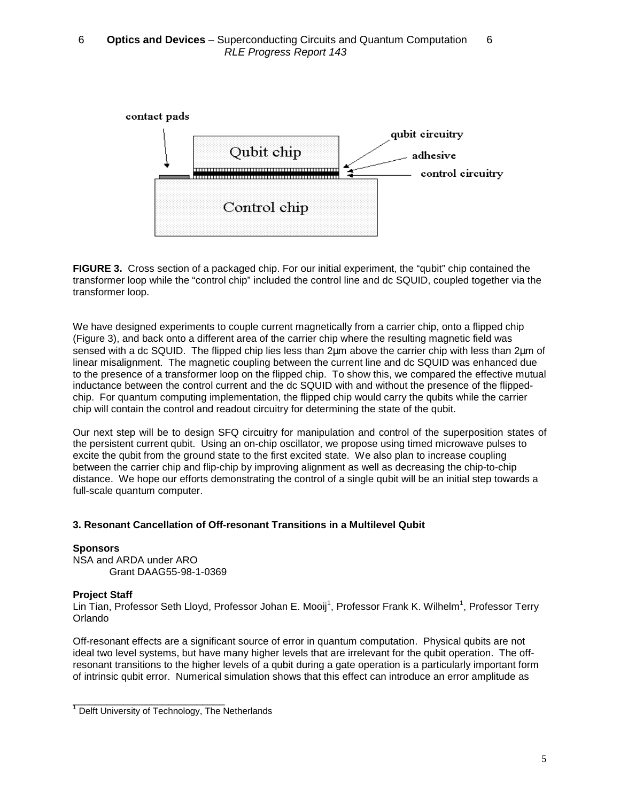

**FIGURE 3.** Cross section of a packaged chip. For our initial experiment, the "qubit" chip contained the transformer loop while the "control chip" included the control line and dc SQUID, coupled together via the transformer loop.

We have designed experiments to couple current magnetically from a carrier chip, onto a flipped chip (Figure 3), and back onto a different area of the carrier chip where the resulting magnetic field was sensed with a dc SQUID. The flipped chip lies less than 2µm above the carrier chip with less than 2µm of linear misalignment. The magnetic coupling between the current line and dc SQUID was enhanced due to the presence of a transformer loop on the flipped chip. To show this, we compared the effective mutual inductance between the control current and the dc SQUID with and without the presence of the flippedchip. For quantum computing implementation, the flipped chip would carry the qubits while the carrier chip will contain the control and readout circuitry for determining the state of the qubit.

Our next step will be to design SFQ circuitry for manipulation and control of the superposition states of the persistent current qubit. Using an on-chip oscillator, we propose using timed microwave pulses to excite the qubit from the ground state to the first excited state. We also plan to increase coupling between the carrier chip and flip-chip by improving alignment as well as decreasing the chip-to-chip distance. We hope our efforts demonstrating the control of a single qubit will be an initial step towards a full-scale quantum computer.

# **3. Resonant Cancellation of Off-resonant Transitions in a Multilevel Qubit**

**Sponsors** NSA and ARDA under ARO Grant DAAG55-98-1-0369

#### **Project Staff**

Lin Tian, Professor Seth Lloyd, Professor Johan E. Mooij<sup>1</sup>, Professor Frank K. Wilhelm<sup>1</sup>, Professor Terry Orlando

Off-resonant effects are a significant source of error in quantum computation. Physical qubits are not ideal two level systems, but have many higher levels that are irrelevant for the qubit operation. The offresonant transitions to the higher levels of a qubit during a gate operation is a particularly important form of intrinsic qubit error. Numerical simulation shows that this effect can introduce an error amplitude as

\_\_\_\_\_\_\_\_\_\_\_\_\_\_\_\_\_\_\_\_\_\_\_\_\_\_\_

 $1$  Delft University of Technology, The Netherlands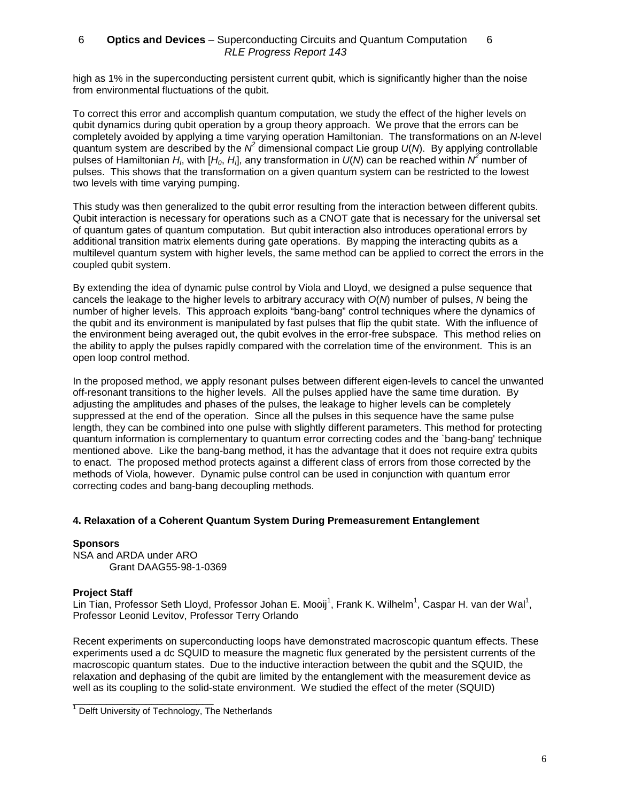high as 1% in the superconducting persistent current qubit, which is significantly higher than the noise from environmental fluctuations of the qubit.

To correct this error and accomplish quantum computation, we study the effect of the higher levels on qubit dynamics during qubit operation by a group theory approach. We prove that the errors can be completely avoided by applying a time varying operation Hamiltonian. The transformations on an N-level quantum system are described by the  $N^2$  dimensional compact Lie group  $U(N)$ . By applying controllable pulses of Hamiltonian H<sub>I</sub>, with  $[H_0, H_1]$ , any transformation in  $U(N)$  can be reached within N<sup>2</sup> number of pulses. This shows that the transformation on a given quantum system can be restricted to the lowest two levels with time varying pumping.

This study was then generalized to the qubit error resulting from the interaction between different qubits. Qubit interaction is necessary for operations such as a CNOT gate that is necessary for the universal set of quantum gates of quantum computation. But qubit interaction also introduces operational errors by additional transition matrix elements during gate operations. By mapping the interacting qubits as a multilevel quantum system with higher levels, the same method can be applied to correct the errors in the coupled qubit system.

By extending the idea of dynamic pulse control by Viola and Lloyd, we designed a pulse sequence that cancels the leakage to the higher levels to arbitrary accuracy with O(N) number of pulses, N being the number of higher levels. This approach exploits "bang-bang" control techniques where the dynamics of the qubit and its environment is manipulated by fast pulses that flip the qubit state. With the influence of the environment being averaged out, the qubit evolves in the error-free subspace. This method relies on the ability to apply the pulses rapidly compared with the correlation time of the environment. This is an open loop control method.

In the proposed method, we apply resonant pulses between different eigen-levels to cancel the unwanted off-resonant transitions to the higher levels. All the pulses applied have the same time duration. By adjusting the amplitudes and phases of the pulses, the leakage to higher levels can be completely suppressed at the end of the operation. Since all the pulses in this sequence have the same pulse length, they can be combined into one pulse with slightly different parameters. This method for protecting quantum information is complementary to quantum error correcting codes and the `bang-bang' technique mentioned above. Like the bang-bang method, it has the advantage that it does not require extra qubits to enact. The proposed method protects against a different class of errors from those corrected by the methods of Viola, however. Dynamic pulse control can be used in conjunction with quantum error correcting codes and bang-bang decoupling methods.

#### **4. Relaxation of a Coherent Quantum System During Premeasurement Entanglement**

#### **Sponsors**

NSA and ARDA under ARO Grant DAAG55-98-1-0369

#### **Project Staff**

Lin Tian, Professor Seth Lloyd, Professor Johan E. Mooij<sup>1</sup>, Frank K. Wilhelm<sup>1</sup>, Caspar H. van der Wal<sup>1</sup>, Professor Leonid Levitov, Professor Terry Orlando

Recent experiments on superconducting loops have demonstrated macroscopic quantum effects. These experiments used a dc SQUID to measure the magnetic flux generated by the persistent currents of the macroscopic quantum states. Due to the inductive interaction between the qubit and the SQUID, the relaxation and dephasing of the qubit are limited by the entanglement with the measurement device as well as its coupling to the solid-state environment. We studied the effect of the meter (SQUID)

\_\_\_\_\_\_\_\_\_\_\_\_\_\_\_\_\_\_\_\_\_\_\_\_\_

 $1$  Delft University of Technology, The Netherlands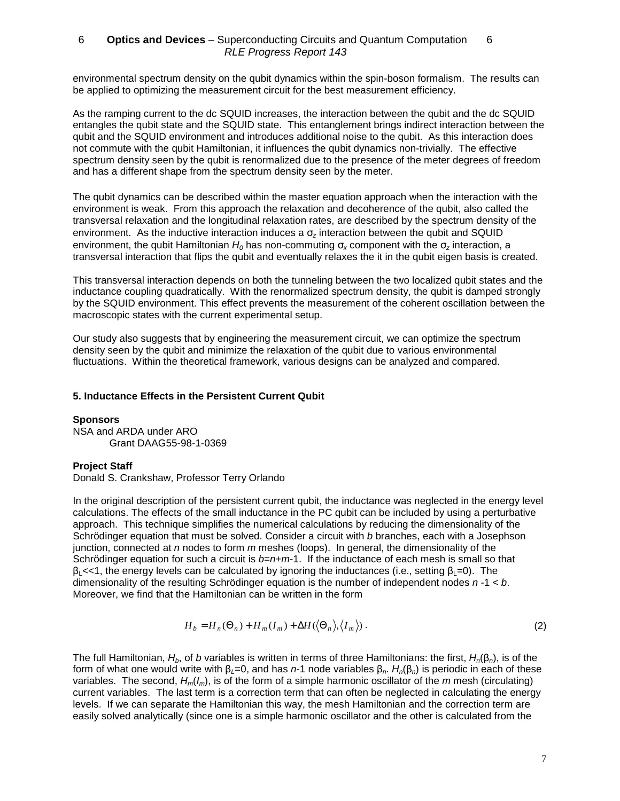environmental spectrum density on the qubit dynamics within the spin-boson formalism. The results can be applied to optimizing the measurement circuit for the best measurement efficiency.

As the ramping current to the dc SQUID increases, the interaction between the qubit and the dc SQUID entangles the qubit state and the SQUID state. This entanglement brings indirect interaction between the qubit and the SQUID environment and introduces additional noise to the qubit. As this interaction does not commute with the qubit Hamiltonian, it influences the qubit dynamics non-trivially. The effective spectrum density seen by the qubit is renormalized due to the presence of the meter degrees of freedom and has a different shape from the spectrum density seen by the meter.

The qubit dynamics can be described within the master equation approach when the interaction with the environment is weak. From this approach the relaxation and decoherence of the qubit, also called the transversal relaxation and the longitudinal relaxation rates, are described by the spectrum density of the environment. As the inductive interaction induces a  $\sigma_z$  interaction between the qubit and SQUID environment, the qubit Hamiltonian  $H_0$  has non-commuting  $\sigma_x$  component with the  $\sigma_z$  interaction, a transversal interaction that flips the qubit and eventually relaxes the it in the qubit eigen basis is created.

This transversal interaction depends on both the tunneling between the two localized qubit states and the inductance coupling quadratically. With the renormalized spectrum density, the qubit is damped strongly by the SQUID environment. This effect prevents the measurement of the coherent oscillation between the macroscopic states with the current experimental setup.

Our study also suggests that by engineering the measurement circuit, we can optimize the spectrum density seen by the qubit and minimize the relaxation of the qubit due to various environmental fluctuations. Within the theoretical framework, various designs can be analyzed and compared.

#### **5. Inductance Effects in the Persistent Current Qubit**

#### **Sponsors**

NSA and ARDA under ARO Grant DAAG55-98-1-0369

#### **Project Staff**

Donald S. Crankshaw, Professor Terry Orlando

In the original description of the persistent current qubit, the inductance was neglected in the energy level calculations. The effects of the small inductance in the PC qubit can be included by using a perturbative approach. This technique simplifies the numerical calculations by reducing the dimensionality of the Schrödinger equation that must be solved. Consider a circuit with b branches, each with a Josephson junction, connected at n nodes to form  $m$  meshes (loops). In general, the dimensionality of the Schrödinger equation for such a circuit is  $b=n+m-1$ . If the inductance of each mesh is small so that  $\beta_1$  <<1, the energy levels can be calculated by ignoring the inductances (i.e., setting  $\beta_1=0$ ). The dimensionality of the resulting Schrödinger equation is the number of independent nodes  $n-1 < b$ . Moreover, we find that the Hamiltonian can be written in the form

$$
H_b = H_n(\Theta_n) + H_m(I_m) + \Delta H(\langle \Theta_n \rangle, \langle I_m \rangle).
$$
 (2)

The full Hamiltonian,  $H_b$ , of b variables is written in terms of three Hamiltonians: the first,  $H_n(\beta_n)$ , is of the form of what one would write with  $\beta_1=0$ , and has n-1 node variables  $\beta_n$ . H<sub>n</sub>(β<sub>n</sub>) is periodic in each of these variables. The second,  $H_m(I_m)$ , is of the form of a simple harmonic oscillator of the m mesh (circulating) current variables. The last term is a correction term that can often be neglected in calculating the energy levels. If we can separate the Hamiltonian this way, the mesh Hamiltonian and the correction term are easily solved analytically (since one is a simple harmonic oscillator and the other is calculated from the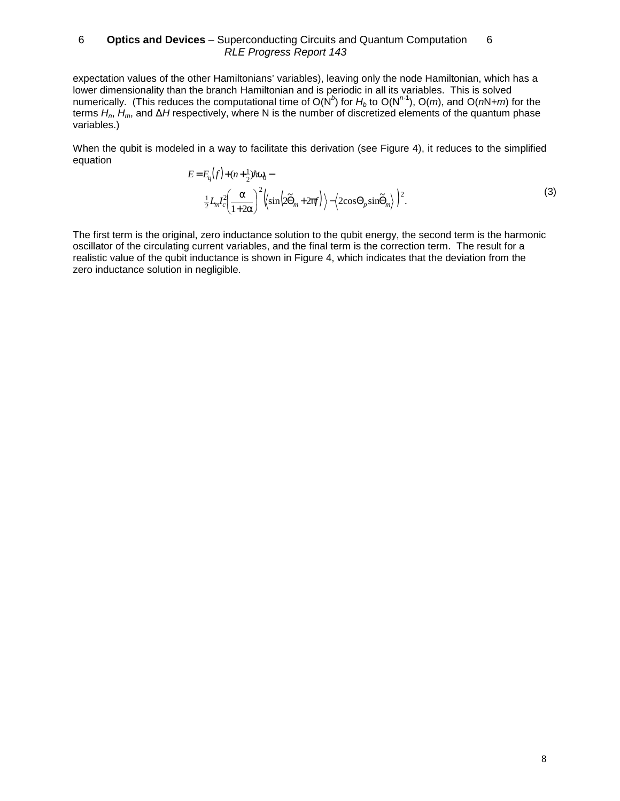expectation values of the other Hamiltonians' variables), leaving only the node Hamiltonian, which has a lower dimensionality than the branch Hamiltonian and is periodic in all its variables. This is solved numerically. (This reduces the computational time of O(N<sup>b</sup>) for H<sub>b</sub> to O(N<sup>n-1</sup>), O(m), and O(nN+m) for the terms H<sub>n</sub>, H<sub>m</sub>, and ∆H respectively, where N is the number of discretized elements of the quantum phase variables.)

When the qubit is modeled in a way to facilitate this derivation (see Figure 4), it reduces to the simplified equation

$$
E = E_q(f) + (n + \frac{1}{2})\hbar\omega_0 -
$$
  

$$
\frac{1}{2}L_m I_c^2 \left(\frac{\alpha}{1 + 2\alpha}\right)^2 \left(\sin\left(2\tilde{\Theta}_m + 2\pi f\right)\right) - \left(2\cos\Theta_p \sin\tilde{\Theta}_m\right)^2.
$$
 (3)

The first term is the original, zero inductance solution to the qubit energy, the second term is the harmonic oscillator of the circulating current variables, and the final term is the correction term. The result for a realistic value of the qubit inductance is shown in Figure 4, which indicates that the deviation from the zero inductance solution in negligible.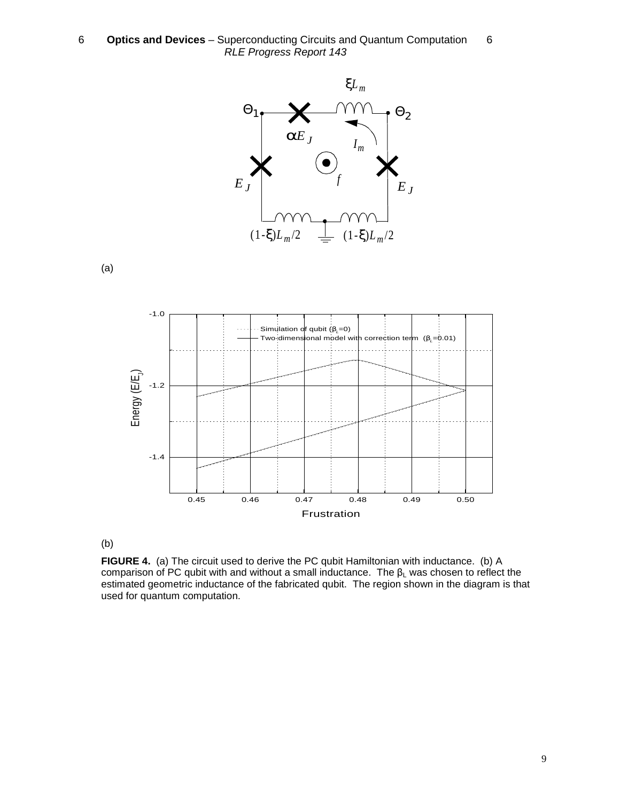

(a)



(b)

**FIGURE 4.** (a) The circuit used to derive the PC qubit Hamiltonian with inductance. (b) A comparison of PC qubit with and without a small inductance. The  $β$ <sub>L</sub> was chosen to reflect the estimated geometric inductance of the fabricated qubit. The region shown in the diagram is that used for quantum computation.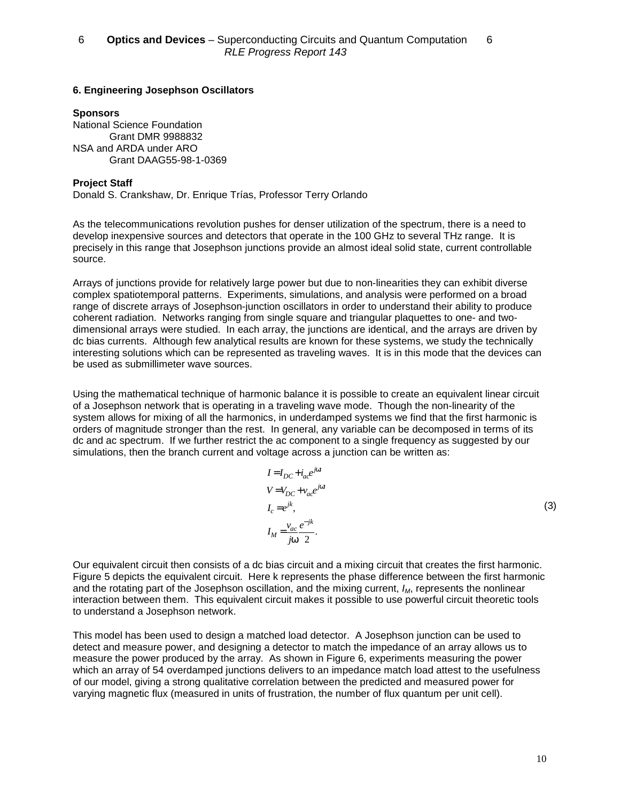# **6. Engineering Josephson Oscillators**

### **Sponsors**

National Science Foundation Grant DMR 9988832 NSA and ARDA under ARO Grant DAAG55-98-1-0369

# **Project Staff**

Donald S. Crankshaw, Dr. Enrique Trías, Professor Terry Orlando

As the telecommunications revolution pushes for denser utilization of the spectrum, there is a need to develop inexpensive sources and detectors that operate in the 100 GHz to several THz range. It is precisely in this range that Josephson junctions provide an almost ideal solid state, current controllable source.

Arrays of junctions provide for relatively large power but due to non-linearities they can exhibit diverse complex spatiotemporal patterns. Experiments, simulations, and analysis were performed on a broad range of discrete arrays of Josephson-junction oscillators in order to understand their ability to produce coherent radiation. Networks ranging from single square and triangular plaquettes to one- and twodimensional arrays were studied. In each array, the junctions are identical, and the arrays are driven by dc bias currents. Although few analytical results are known for these systems, we study the technically interesting solutions which can be represented as traveling waves. It is in this mode that the devices can be used as submillimeter wave sources.

Using the mathematical technique of harmonic balance it is possible to create an equivalent linear circuit of a Josephson network that is operating in a traveling wave mode. Though the non-linearity of the system allows for mixing of all the harmonics, in underdamped systems we find that the first harmonic is orders of magnitude stronger than the rest. In general, any variable can be decomposed in terms of its dc and ac spectrum. If we further restrict the ac component to a single frequency as suggested by our simulations, then the branch current and voltage across a junction can be written as:

$$
I = I_{DC} + i_{ac}e^{j\alpha t}
$$
  
\n
$$
V = V_{DC} + v_{ac}e^{j\alpha t}
$$
  
\n
$$
I_c = e^{jk},
$$
  
\n
$$
I_M = \frac{v_{ac}}{j\omega} \frac{e^{-jk}}{2}.
$$

(3)

Our equivalent circuit then consists of a dc bias circuit and a mixing circuit that creates the first harmonic. Figure 5 depicts the equivalent circuit. Here k represents the phase difference between the first harmonic and the rotating part of the Josephson oscillation, and the mixing current,  $I_M$ , represents the nonlinear interaction between them. This equivalent circuit makes it possible to use powerful circuit theoretic tools to understand a Josephson network.

This model has been used to design a matched load detector. A Josephson junction can be used to detect and measure power, and designing a detector to match the impedance of an array allows us to measure the power produced by the array. As shown in Figure 6, experiments measuring the power which an array of 54 overdamped junctions delivers to an impedance match load attest to the usefulness of our model, giving a strong qualitative correlation between the predicted and measured power for varying magnetic flux (measured in units of frustration, the number of flux quantum per unit cell).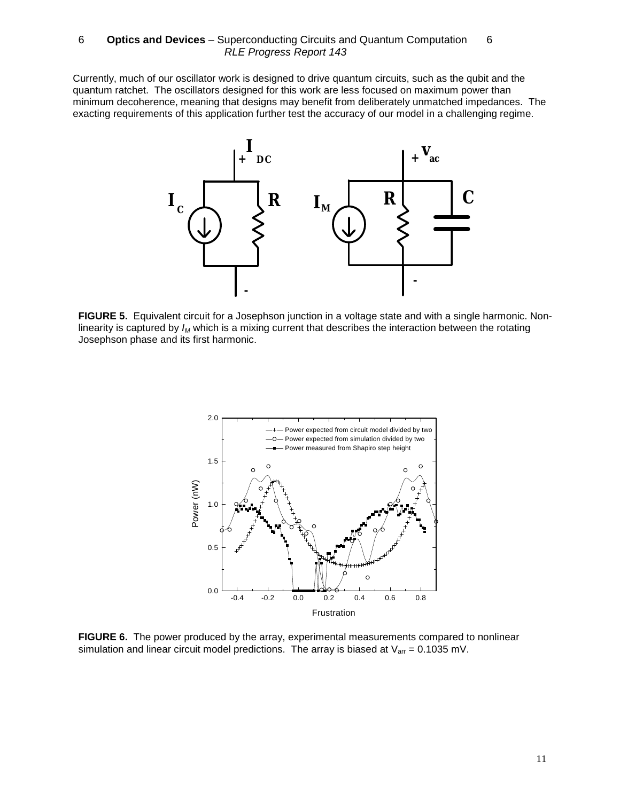Currently, much of our oscillator work is designed to drive quantum circuits, such as the qubit and the quantum ratchet. The oscillators designed for this work are less focused on maximum power than minimum decoherence, meaning that designs may benefit from deliberately unmatched impedances. The exacting requirements of this application further test the accuracy of our model in a challenging regime.



**FIGURE 5.** Equivalent circuit for a Josephson junction in a voltage state and with a single harmonic. Nonlinearity is captured by  $I_M$  which is a mixing current that describes the interaction between the rotating Josephson phase and its first harmonic.



**FIGURE 6.** The power produced by the array, experimental measurements compared to nonlinear simulation and linear circuit model predictions. The array is biased at  $V_{\text{arr}} = 0.1035$  mV.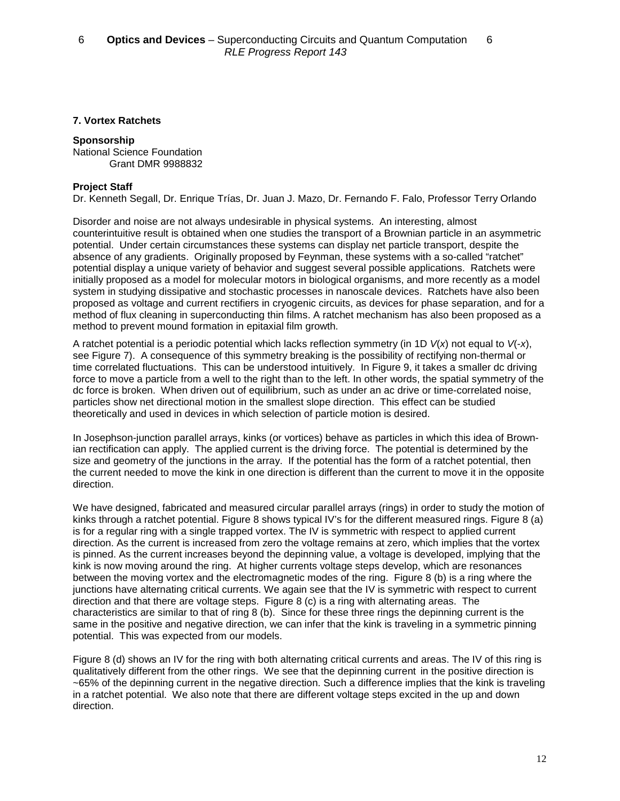# **7. Vortex Ratchets**

### **Sponsorship**

National Science Foundation Grant DMR 9988832

# **Project Staff**

Dr. Kenneth Segall, Dr. Enrique Trías, Dr. Juan J. Mazo, Dr. Fernando F. Falo, Professor Terry Orlando

Disorder and noise are not always undesirable in physical systems. An interesting, almost counterintuitive result is obtained when one studies the transport of a Brownian particle in an asymmetric potential. Under certain circumstances these systems can display net particle transport, despite the absence of any gradients. Originally proposed by Feynman, these systems with a so-called "ratchet" potential display a unique variety of behavior and suggest several possible applications. Ratchets were initially proposed as a model for molecular motors in biological organisms, and more recently as a model system in studying dissipative and stochastic processes in nanoscale devices. Ratchets have also been proposed as voltage and current rectifiers in cryogenic circuits, as devices for phase separation, and for a method of flux cleaning in superconducting thin films. A ratchet mechanism has also been proposed as a method to prevent mound formation in epitaxial film growth.

A ratchet potential is a periodic potential which lacks reflection symmetry (in 1D  $V(x)$  not equal to  $V(-x)$ , see Figure 7). A consequence of this symmetry breaking is the possibility of rectifying non-thermal or time correlated fluctuations. This can be understood intuitively. In Figure 9, it takes a smaller dc driving force to move a particle from a well to the right than to the left. In other words, the spatial symmetry of the dc force is broken. When driven out of equilibrium, such as under an ac drive or time-correlated noise, particles show net directional motion in the smallest slope direction. This effect can be studied theoretically and used in devices in which selection of particle motion is desired.

In Josephson-junction parallel arrays, kinks (or vortices) behave as particles in which this idea of Brownian rectification can apply. The applied current is the driving force. The potential is determined by the size and geometry of the junctions in the array. If the potential has the form of a ratchet potential, then the current needed to move the kink in one direction is different than the current to move it in the opposite direction.

We have designed, fabricated and measured circular parallel arrays (rings) in order to study the motion of kinks through a ratchet potential. Figure 8 shows typical IV's for the different measured rings. Figure 8 (a) is for a regular ring with a single trapped vortex. The IV is symmetric with respect to applied current direction. As the current is increased from zero the voltage remains at zero, which implies that the vortex is pinned. As the current increases beyond the depinning value, a voltage is developed, implying that the kink is now moving around the ring. At higher currents voltage steps develop, which are resonances between the moving vortex and the electromagnetic modes of the ring. Figure 8 (b) is a ring where the junctions have alternating critical currents. We again see that the IV is symmetric with respect to current direction and that there are voltage steps. Figure 8 (c) is a ring with alternating areas. The characteristics are similar to that of ring 8 (b). Since for these three rings the depinning current is the same in the positive and negative direction, we can infer that the kink is traveling in a symmetric pinning potential. This was expected from our models.

Figure 8 (d) shows an IV for the ring with both alternating critical currents and areas. The IV of this ring is qualitatively different from the other rings. We see that the depinning current in the positive direction is ~65% of the depinning current in the negative direction. Such a difference implies that the kink is traveling in a ratchet potential. We also note that there are different voltage steps excited in the up and down direction.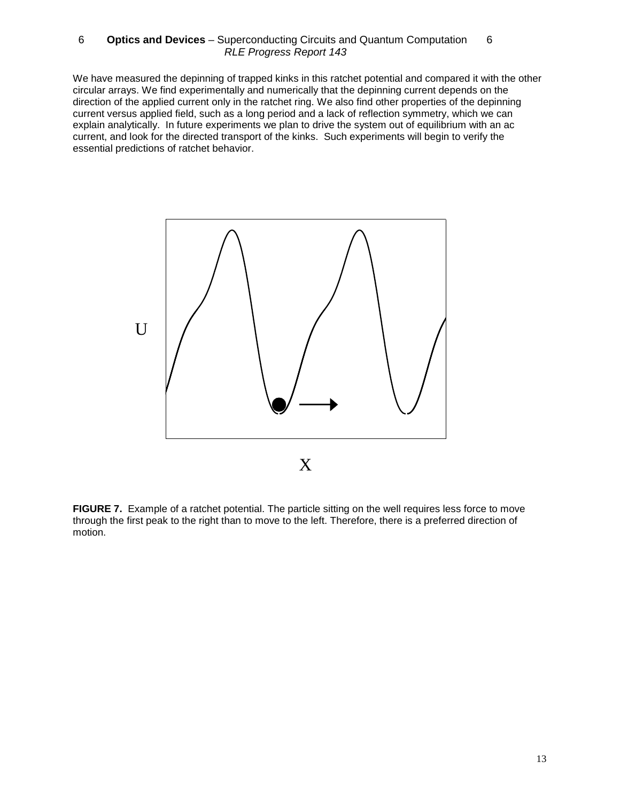We have measured the depinning of trapped kinks in this ratchet potential and compared it with the other circular arrays. We find experimentally and numerically that the depinning current depends on the direction of the applied current only in the ratchet ring. We also find other properties of the depinning current versus applied field, such as a long period and a lack of reflection symmetry, which we can explain analytically. In future experiments we plan to drive the system out of equilibrium with an ac current, and look for the directed transport of the kinks. Such experiments will begin to verify the essential predictions of ratchet behavior.



FIGURE 7. Example of a ratchet potential. The particle sitting on the well requires less force to move through the first peak to the right than to move to the left. Therefore, there is a preferred direction of motion.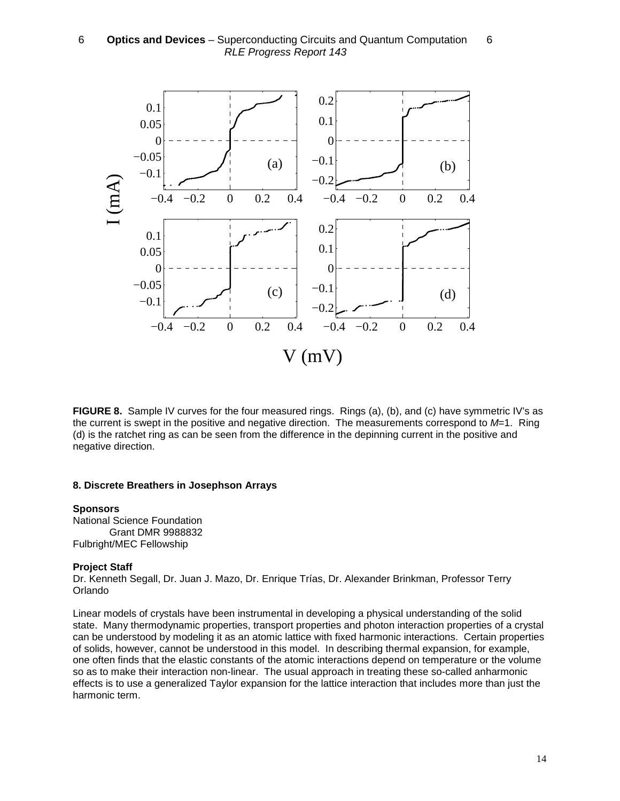

**FIGURE 8.** Sample IV curves for the four measured rings. Rings (a), (b), and (c) have symmetric IV's as the current is swept in the positive and negative direction. The measurements correspond to  $M=1$ . Ring (d) is the ratchet ring as can be seen from the difference in the depinning current in the positive and negative direction.

#### **8. Discrete Breathers in Josephson Arrays**

#### **Sponsors**

National Science Foundation Grant DMR 9988832 Fulbright/MEC Fellowship

#### **Project Staff**

Dr. Kenneth Segall, Dr. Juan J. Mazo, Dr. Enrique Trías, Dr. Alexander Brinkman, Professor Terry Orlando

Linear models of crystals have been instrumental in developing a physical understanding of the solid state. Many thermodynamic properties, transport properties and photon interaction properties of a crystal can be understood by modeling it as an atomic lattice with fixed harmonic interactions. Certain properties of solids, however, cannot be understood in this model. In describing thermal expansion, for example, one often finds that the elastic constants of the atomic interactions depend on temperature or the volume so as to make their interaction non-linear. The usual approach in treating these so-called anharmonic effects is to use a generalized Taylor expansion for the lattice interaction that includes more than just the harmonic term.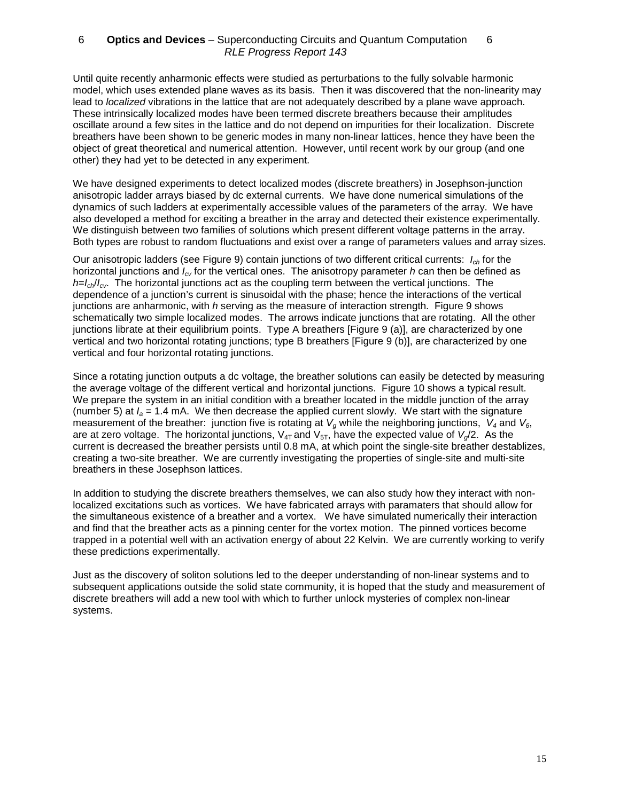Until quite recently anharmonic effects were studied as perturbations to the fully solvable harmonic model, which uses extended plane waves as its basis. Then it was discovered that the non-linearity may lead to localized vibrations in the lattice that are not adequately described by a plane wave approach. These intrinsically localized modes have been termed discrete breathers because their amplitudes oscillate around a few sites in the lattice and do not depend on impurities for their localization. Discrete breathers have been shown to be generic modes in many non-linear lattices, hence they have been the object of great theoretical and numerical attention. However, until recent work by our group (and one other) they had yet to be detected in any experiment.

We have designed experiments to detect localized modes (discrete breathers) in Josephson-junction anisotropic ladder arrays biased by dc external currents. We have done numerical simulations of the dynamics of such ladders at experimentally accessible values of the parameters of the array. We have also developed a method for exciting a breather in the array and detected their existence experimentally. We distinguish between two families of solutions which present different voltage patterns in the array. Both types are robust to random fluctuations and exist over a range of parameters values and array sizes.

Our anisotropic ladders (see Figure 9) contain junctions of two different critical currents:  $I_{ch}$  for the horizontal junctions and  $I_{cy}$  for the vertical ones. The anisotropy parameter h can then be defined as  $h=I_{ch}/I_{cv}$ . The horizontal junctions act as the coupling term between the vertical junctions. The dependence of a junction's current is sinusoidal with the phase; hence the interactions of the vertical junctions are anharmonic, with h serving as the measure of interaction strength. Figure 9 shows schematically two simple localized modes. The arrows indicate junctions that are rotating. All the other junctions librate at their equilibrium points. Type A breathers [Figure 9 (a)], are characterized by one vertical and two horizontal rotating junctions; type B breathers [Figure 9 (b)], are characterized by one vertical and four horizontal rotating junctions.

Since a rotating junction outputs a dc voltage, the breather solutions can easily be detected by measuring the average voltage of the different vertical and horizontal junctions. Figure 10 shows a typical result. We prepare the system in an initial condition with a breather located in the middle junction of the array (number 5) at  $I_a = 1.4$  mA. We then decrease the applied current slowly. We start with the signature measurement of the breather: junction five is rotating at  $V_g$  while the neighboring junctions,  $V_4$  and  $V_6$ , are at zero voltage. The horizontal junctions,  $V_{4T}$  and  $V_{5T}$ , have the expected value of  $V_{\alpha}/2$ . As the current is decreased the breather persists until 0.8 mA, at which point the single-site breather destablizes, creating a two-site breather. We are currently investigating the properties of single-site and multi-site breathers in these Josephson lattices.

In addition to studying the discrete breathers themselves, we can also study how they interact with nonlocalized excitations such as vortices. We have fabricated arrays with paramaters that should allow for the simultaneous existence of a breather and a vortex. We have simulated numerically their interaction and find that the breather acts as a pinning center for the vortex motion. The pinned vortices become trapped in a potential well with an activation energy of about 22 Kelvin. We are currently working to verify these predictions experimentally.

Just as the discovery of soliton solutions led to the deeper understanding of non-linear systems and to subsequent applications outside the solid state community, it is hoped that the study and measurement of discrete breathers will add a new tool with which to further unlock mysteries of complex non-linear systems.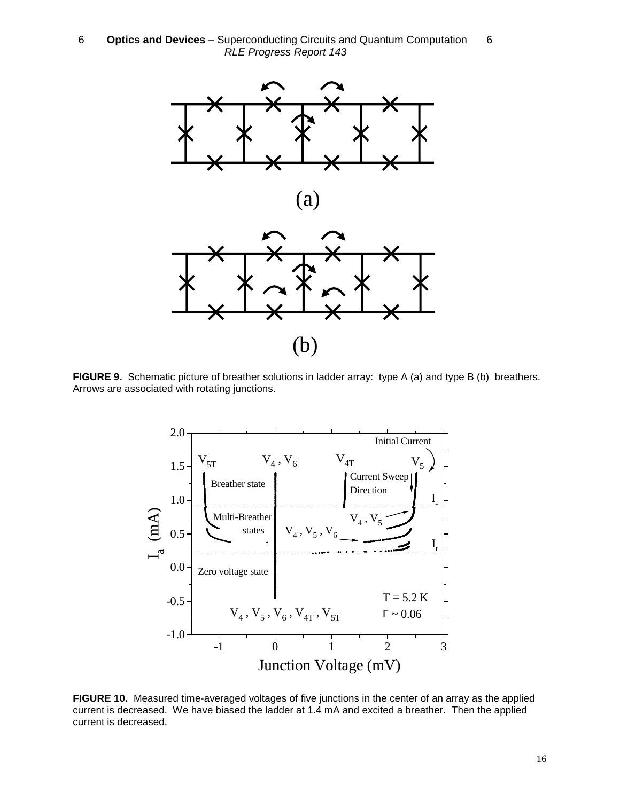

**FIGURE 9.** Schematic picture of breather solutions in ladder array: type A (a) and type B (b) breathers. Arrows are associated with rotating junctions.



**FIGURE 10.** Measured time-averaged voltages of five junctions in the center of an array as the applied current is decreased. We have biased the ladder at 1.4 mA and excited a breather. Then the applied current is decreased.